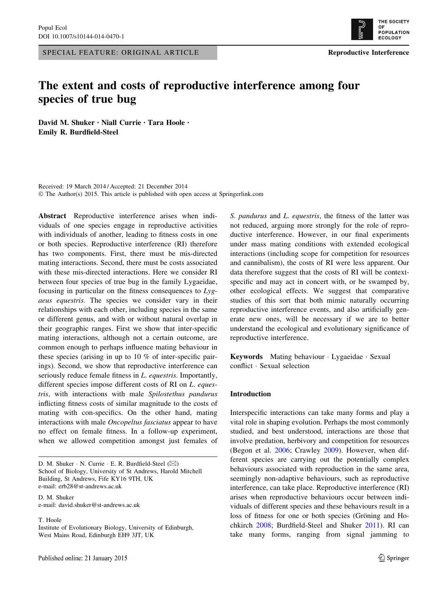SPECIAL FEATURE: ORIGINAL ARTICLE **Reproductive Interference** 



# The extent and costs of reproductive interference among four species of true bug

David M. Shuker • Niall Currie • Tara Hoole • Emily R. Burdfield-Steel

Received: 19 March 2014 / Accepted: 21 December 2014 © The Author(s) 2015. This article is published with open access at Springerlink.com

Abstract Reproductive interference arises when individuals of one species engage in reproductive activities with individuals of another, leading to fitness costs in one or both species. Reproductive interference (RI) therefore has two components. First, there must be mis-directed mating interactions. Second, there must be costs associated with these mis-directed interactions. Here we consider RI between four species of true bug in the family Lygaeidae, focusing in particular on the fitness consequences to  $Lyg$ aeus equestris. The species we consider vary in their relationships with each other, including species in the same or different genus, and with or without natural overlap in their geographic ranges. First we show that inter-specific mating interactions, although not a certain outcome, are common enough to perhaps influence mating behaviour in these species (arising in up to 10 % of inter-specific pairings). Second, we show that reproductive interference can seriously reduce female fitness in L. equestris. Importantly, different species impose different costs of RI on L. equestris, with interactions with male Spilostethus pandurus inflicting fitness costs of similar magnitude to the costs of mating with con-specifics. On the other hand, mating interactions with male Oncopeltus fasciatus appear to have no effect on female fitness. In a follow-up experiment, when we allowed competition amongst just females of

D. M. Shuker  $\cdot$  N. Currie  $\cdot$  E. R. Burdfield-Steel ( $\boxtimes$ ) School of Biology, University of St Andrews, Harold Mitchell Building, St Andrews, Fife KY16 9TH, UK e-mail: erb28@st-andrews.ac.uk

D. M. Shuker e-mail: david.shuker@st-andrews.ac.uk

T. Hoole

Institute of Evolutionary Biology, University of Edinburgh, West Mains Road, Edinburgh EH9 3JT, UK

S. pandurus and L. equestris, the fitness of the latter was not reduced, arguing more strongly for the role of reproductive interference. However, in our final experiments under mass mating conditions with extended ecological interactions (including scope for competition for resources and cannibalism), the costs of RI were less apparent. Our data therefore suggest that the costs of RI will be contextspecific and may act in concert with, or be swamped by, other ecological effects. We suggest that comparative studies of this sort that both mimic naturally occurring reproductive interference events, and also artificially generate new ones, will be necessary if we are to better understand the ecological and evolutionary significance of reproductive interference.

Keywords Mating behaviour - Lygaeidae - Sexual conflict - Sexual selection

## Introduction

Interspecific interactions can take many forms and play a vital role in shaping evolution. Perhaps the most commonly studied, and best understood, interactions are those that involve predation, herbivory and competition for resources (Begon et al. [2006](#page-9-0); Crawley [2009](#page-10-0)). However, when different species are carrying out the potentially complex behaviours associated with reproduction in the same area, seemingly non-adaptive behaviours, such as reproductive interference, can take place. Reproductive interference (RI) arises when reproductive behaviours occur between individuals of different species and these behaviours result in a loss of fitness for one or both species (Gröning and Hochkirch [2008;](#page-10-0) Burdfield-Steel and Shuker [2011](#page-9-0)). RI can take many forms, ranging from signal jamming to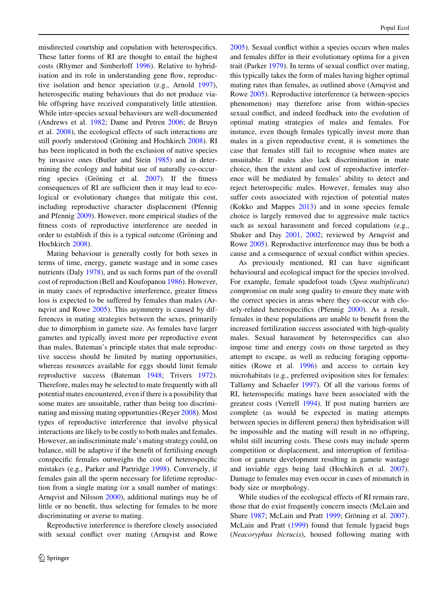misdirected courtship and copulation with heterospecifics. These latter forms of RI are thought to entail the highest costs (Rhymer and Simberloff [1996](#page-10-0)). Relative to hybridisation and its role in understanding gene flow, reproductive isolation and hence speciation (e.g., Arnold [1997](#page-9-0)), heterospecific mating behaviours that do not produce viable offspring have received comparatively little attention. While inter-species sexual behaviours are well-documented (Andrews et al. [1982;](#page-9-0) Dame and Petren [2006](#page-10-0); de Bruyn et al. [2008\)](#page-10-0), the ecological effects of such interactions are still poorly understood (Gröning and Hochkirch [2008\)](#page-10-0). RI has been implicated in both the exclusion of native species by invasive ones (Butler and Stein [1985](#page-10-0)) and in determining the ecology and habitat use of naturally co-occurring species (Gröning et al.  $2007$ ). If the fitness consequences of RI are sufficient then it may lead to ecological or evolutionary changes that mitigate this cost, including reproductive character displacement (Pfennig and Pfennig [2009\)](#page-10-0). However, more empirical studies of the fitness costs of reproductive interference are needed in order to establish if this is a typical outcome (Gröning and Hochkirch [2008\)](#page-10-0).

Mating behaviour is generally costly for both sexes in terms of time, energy, gamete wastage and in some cases nutrients (Daly [1978](#page-10-0)), and as such forms part of the overall cost of reproduction (Bell and Koufopanou [1986](#page-9-0)). However, in many cases of reproductive interference, greater fitness loss is expected to be suffered by females than males (Arnqvist and Rowe [2005](#page-9-0)). This asymmetry is caused by differences in mating strategies between the sexes, primarily due to dimorphism in gamete size. As females have larger gametes and typically invest more per reproductive event than males, Bateman's principle states that male reproductive success should be limited by mating opportunities, whereas resources available for eggs should limit female reproductive success (Bateman [1948](#page-9-0); Trivers [1972](#page-10-0)). Therefore, males may be selected to mate frequently with all potential mates encountered, even if there is a possibility that some mates are unsuitable, rather than being too discriminating and missing mating opportunities (Reyer [2008\)](#page-10-0). Most types of reproductive interference that involve physical interactions are likely to be costly to both males and females. However, an indiscriminate male's mating strategy could, on balance, still be adaptive if the benefit of fertilising enough conspecific females outweighs the cost of heterospecific mistakes (e.g., Parker and Partridge [1998\)](#page-10-0). Conversely, if females gain all the sperm necessary for lifetime reproduction from a single mating (or a small number of matings: Arnqvist and Nilsson [2000](#page-9-0)), additional matings may be of little or no benefit, thus selecting for females to be more discriminating or averse to mating.

Reproductive interference is therefore closely associated with sexual conflict over mating (Arnqvist and Rowe

[2005](#page-9-0)). Sexual conflict within a species occurs when males and females differ in their evolutionary optima for a given trait (Parker [1979](#page-10-0)). In terms of sexual conflict over mating, this typically takes the form of males having higher optimal mating rates than females, as outlined above (Arnqvist and Rowe [2005](#page-9-0)). Reproductive interference (a between-species phenomenon) may therefore arise from within-species sexual conflict, and indeed feedback into the evolution of optimal mating strategies of males and females. For instance, even though females typically invest more than males in a given reproductive event, it is sometimes the case that females still fail to recognise when mates are unsuitable. If males also lack discrimination in mate choice, then the extent and cost of reproductive interference will be mediated by females' ability to detect and reject heterospecific males. However, females may also suffer costs associated with rejection of potential mates (Kokko and Mappes [2013](#page-10-0)) and in some species female choice is largely removed due to aggressive male tactics such as sexual harassment and forced copulations (e.g., Shuker and Day [2001,](#page-10-0) [2002;](#page-10-0) reviewed by Arnqvist and Rowe [2005](#page-9-0)). Reproductive interference may thus be both a cause and a consequence of sexual conflict within species.

As previously mentioned, RI can have significant behavioural and ecological impact for the species involved. For example, female spadefoot toads (Spea multiplicata) compromise on male song quality to ensure they mate with the correct species in areas where they co-occur with closely-related heterospecifics (Pfennig [2000\)](#page-10-0). As a result, females in these populations are unable to benefit from the increased fertilization success associated with high-quality males. Sexual harassment by heterospecifics can also impose time and energy costs on those targeted as they attempt to escape, as well as reducing foraging opportunities (Rowe et al. [1996](#page-10-0)) and access to certain key microhabitats (e.g., preferred oviposition sites for females: Tallamy and Schaefer [1997\)](#page-10-0). Of all the various forms of RI, heterospecific matings have been associated with the greatest costs (Verrell [1994](#page-10-0)). If post mating barriers are complete (as would be expected in mating attempts between species in different genera) then hybridisation will be impossible and the mating will result in no offspring, whilst still incurring costs. These costs may include sperm competition or displacement, and interruption of fertilisation or gamete development resulting in gamete wastage and inviable eggs being laid (Hochkirch et al. [2007](#page-10-0)). Damage to females may even occur in cases of mismatch in body size or morphology.

While studies of the ecological effects of RI remain rare, those that do exist frequently concern insects (McLain and Shure [1987;](#page-10-0) McLain and Pratt [1999;](#page-10-0) Gröning et al. [2007](#page-10-0)). McLain and Pratt ([1999\)](#page-10-0) found that female lygaeid bugs (Neacoryphus bicrucis), housed following mating with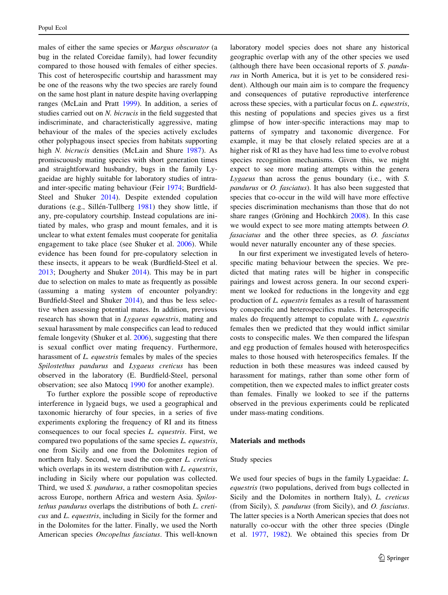males of either the same species or *Margus obscurator* (a bug in the related Coreidae family), had lower fecundity compared to those housed with females of either species. This cost of heterospecific courtship and harassment may be one of the reasons why the two species are rarely found on the same host plant in nature despite having overlapping ranges (McLain and Pratt [1999\)](#page-10-0). In addition, a series of studies carried out on N. bicrucis in the field suggested that indiscriminate, and characteristically aggressive, mating behaviour of the males of the species actively excludes other polyphagous insect species from habitats supporting high N. bicrucis densities (McLain and Shure [1987\)](#page-10-0). As promiscuously mating species with short generation times and straightforward husbandry, bugs in the family Lygaeidae are highly suitable for laboratory studies of intraand inter-specific mating behaviour (Feir [1974;](#page-10-0) Burdfield-Steel and Shuker [2014](#page-9-0)). Despite extended copulation durations (e.g., Sillen-Tullberg [1981\)](#page-10-0) they show little, if any, pre-copulatory courtship. Instead copulations are initiated by males, who grasp and mount females, and it is unclear to what extent females must cooperate for genitalia engagement to take place (see Shuker et al. [2006](#page-10-0)). While evidence has been found for pre-copulatory selection in these insects, it appears to be weak (Burdfield-Steel et al. [2013;](#page-9-0) Dougherty and Shuker [2014](#page-10-0)). This may be in part due to selection on males to mate as frequently as possible (assuming a mating system of encounter polyandry: Burdfield-Steel and Shuker [2014\)](#page-9-0), and thus be less selective when assessing potential mates. In addition, previous research has shown that in Lygaeus equestris, mating and sexual harassment by male conspecifics can lead to reduced female longevity (Shuker et al. [2006\)](#page-10-0), suggesting that there is sexual conflict over mating frequency. Furthermore, harassment of L. equestris females by males of the species Spilostethus pandurus and Lygaeus creticus has been observed in the laboratory (E. Burdfield-Steel, personal observation; see also Matocq [1990](#page-10-0) for another example).

To further explore the possible scope of reproductive interference in lygaeid bugs, we used a geographical and taxonomic hierarchy of four species, in a series of five experiments exploring the frequency of RI and its fitness consequences to our focal species L. equestris. First, we compared two populations of the same species L. equestris, one from Sicily and one from the Dolomites region of northern Italy. Second, we used the con-gener L. creticus which overlaps in its western distribution with L. equestris, including in Sicily where our population was collected. Third, we used S. pandurus, a rather cosmopolitan species across Europe, northern Africa and western Asia. Spilostethus pandurus overlaps the distributions of both L. creticus and L. equestris, including in Sicily for the former and in the Dolomites for the latter. Finally, we used the North American species Oncopeltus fasciatus. This well-known dicted that mating rates will be higher in conspecific pairings and lowest across genera. In our second experiment we looked for reductions in the longevity and egg production of L. equestris females as a result of harassment by conspecific and heterospecifics males. If heterospecific males do frequently attempt to copulate with L. equestris females then we predicted that they would inflict similar costs to conspecific males. We then compared the lifespan and egg production of females housed with heterospecifics males to those housed with heterospecifics females. If the reduction in both these measures was indeed caused by harassment for matings, rather than some other form of competition, then we expected males to inflict greater costs than females. Finally we looked to see if the patterns observed in the previous experiments could be replicated under mass-mating conditions.

## Materials and methods

#### Study species

We used four species of bugs in the family Lygaeidae: L. equestris (two populations, derived from bugs collected in Sicily and the Dolomites in northern Italy), L. creticus (from Sicily), S. pandurus (from Sicily), and O. fasciatus. The latter species is a North American species that does not naturally co-occur with the other three species (Dingle et al. [1977,](#page-10-0) [1982\)](#page-10-0). We obtained this species from Dr

laboratory model species does not share any historical geographic overlap with any of the other species we used (although there have been occasional reports of S. pandurus in North America, but it is yet to be considered resident). Although our main aim is to compare the frequency and consequences of putative reproductive interference across these species, with a particular focus on L. equestris, this nesting of populations and species gives us a first glimpse of how inter-specific interactions may map to patterns of sympatry and taxonomic divergence. For example, it may be that closely related species are at a higher risk of RI as they have had less time to evolve robust species recognition mechanisms. Given this, we might expect to see more mating attempts within the genera Lygaeus than across the genus boundary (i.e., with S. pandurus or O. fasciatus). It has also been suggested that species that co-occur in the wild will have more effective species discrimination mechanisms than those that do not share ranges (Gröning and Hochkirch  $2008$ ). In this case we would expect to see more mating attempts between O. fasaciatus and the other three species, as O. fasciatus would never naturally encounter any of these species. In our first experiment we investigated levels of heterospecific mating behaviour between the species. We pre-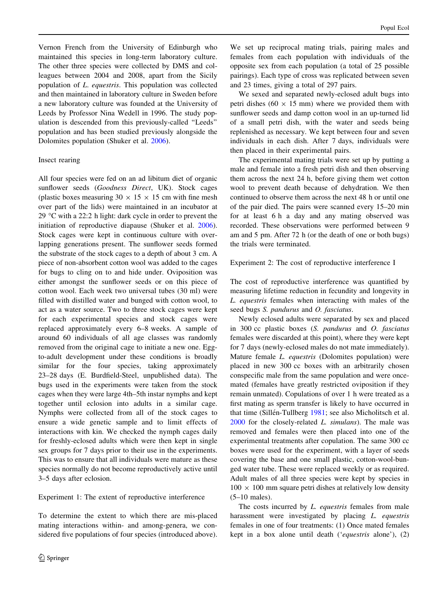<span id="page-3-0"></span>Vernon French from the University of Edinburgh who maintained this species in long-term laboratory culture. The other three species were collected by DMS and colleagues between 2004 and 2008, apart from the Sicily population of L. equestris. This population was collected and then maintained in laboratory culture in Sweden before a new laboratory culture was founded at the University of Leeds by Professor Nina Wedell in 1996. The study population is descended from this previously-called ''Leeds'' population and has been studied previously alongside the Dolomites population (Shuker et al. [2006\)](#page-10-0).

## Insect rearing

All four species were fed on an ad libitum diet of organic sunflower seeds (Goodness Direct, UK). Stock cages (plastic boxes measuring  $30 \times 15 \times 15$  cm with fine mesh over part of the lids) were maintained in an incubator at 29  $\degree$ C with a 22:2 h light: dark cycle in order to prevent the initiation of reproductive diapause (Shuker et al. [2006](#page-10-0)). Stock cages were kept in continuous culture with overlapping generations present. The sunflower seeds formed the substrate of the stock cages to a depth of about 3 cm. A piece of non-absorbent cotton wool was added to the cages for bugs to cling on to and hide under. Oviposition was either amongst the sunflower seeds or on this piece of cotton wool. Each week two universal tubes (30 ml) were filled with distilled water and bunged with cotton wool, to act as a water source. Two to three stock cages were kept for each experimental species and stock cages were replaced approximately every 6–8 weeks. A sample of around 60 individuals of all age classes was randomly removed from the original cage to initiate a new one. Eggto-adult development under these conditions is broadly similar for the four species, taking approximately 23–28 days (E. Burdfield-Steel, unpublished data). The bugs used in the experiments were taken from the stock cages when they were large 4th–5th instar nymphs and kept together until eclosion into adults in a similar cage. Nymphs were collected from all of the stock cages to ensure a wide genetic sample and to limit effects of interactions with kin. We checked the nymph cages daily for freshly-eclosed adults which were then kept in single sex groups for 7 days prior to their use in the experiments. This was to ensure that all individuals were mature as these species normally do not become reproductively active until 3–5 days after eclosion.

Experiment 1: The extent of reproductive interference

To determine the extent to which there are mis-placed mating interactions within- and among-genera, we considered five populations of four species (introduced above).

We set up reciprocal mating trials, pairing males and females from each population with individuals of the opposite sex from each population (a total of 25 possible pairings). Each type of cross was replicated between seven and 23 times, giving a total of 297 pairs.

We sexed and separated newly-eclosed adult bugs into petri dishes (60  $\times$  15 mm) where we provided them with sunflower seeds and damp cotton wool in an up-turned lid of a small petri dish, with the water and seeds being replenished as necessary. We kept between four and seven individuals in each dish. After 7 days, individuals were then placed in their experimental pairs.

The experimental mating trials were set up by putting a male and female into a fresh petri dish and then observing them across the next 24 h, before giving them wet cotton wool to prevent death because of dehydration. We then continued to observe them across the next 48 h or until one of the pair died. The pairs were scanned every 15–20 min for at least 6 h a day and any mating observed was recorded. These observations were performed between 9 am and 5 pm. After 72 h (or the death of one or both bugs) the trials were terminated.

#### Experiment 2: The cost of reproductive interference I

The cost of reproductive interference was quantified by measuring lifetime reduction in fecundity and longevity in L. equestris females when interacting with males of the seed bugs S. pandurus and O. fasciatus.

Newly eclosed adults were separated by sex and placed in 300 cc plastic boxes (S. pandurus and O. fasciatus females were discarded at this point), where they were kept for 7 days (newly-eclosed males do not mate immediately). Mature female L. equestris (Dolomites population) were placed in new 300 cc boxes with an arbitrarily chosen conspecific male from the same population and were oncemated (females have greatly restricted oviposition if they remain unmated). Copulations of over 1 h were treated as a first mating as sperm transfer is likely to have occurred in that time (Sillén-Tullberg [1981;](#page-10-0) see also Micholitsch et al. [2000](#page-10-0) for the closely-related L. simulans). The male was removed and females were then placed into one of the experimental treatments after copulation. The same 300 cc boxes were used for the experiment, with a layer of seeds covering the base and one small plastic, cotton-wool-bunged water tube. These were replaced weekly or as required. Adult males of all three species were kept by species in  $100 \times 100$  mm square petri dishes at relatively low density (5–10 males).

The costs incurred by L. equestris females from male harassment were investigated by placing L. equestris females in one of four treatments: (1) Once mated females kept in a box alone until death ('equestris alone'), (2)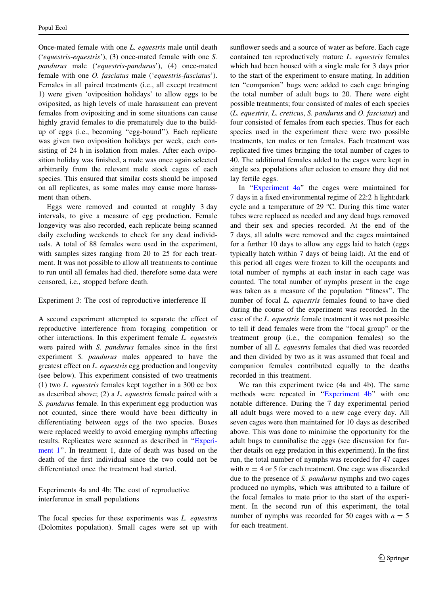<span id="page-4-0"></span>Once-mated female with one *L. equestris* male until death ('equestris-equestris'), (3) once-mated female with one S. pandurus male ('equestris-pandurus'), (4) once-mated female with one O. fasciatus male ('equestris-fasciatus'). Females in all paired treatments (i.e., all except treatment 1) were given 'oviposition holidays' to allow eggs to be oviposited, as high levels of male harassment can prevent females from ovipositing and in some situations can cause highly gravid females to die prematurely due to the buildup of eggs (i.e., becoming ''egg-bound''). Each replicate was given two oviposition holidays per week, each consisting of 24 h in isolation from males. After each oviposition holiday was finished, a male was once again selected arbitrarily from the relevant male stock cages of each species. This ensured that similar costs should be imposed on all replicates, as some males may cause more harassment than others.

Eggs were removed and counted at roughly 3 day intervals, to give a measure of egg production. Female longevity was also recorded, each replicate being scanned daily excluding weekends to check for any dead individuals. A total of 88 females were used in the experiment, with samples sizes ranging from 20 to 25 for each treatment. It was not possible to allow all treatments to continue to run until all females had died, therefore some data were censored, i.e., stopped before death.

## Experiment 3: The cost of reproductive interference II

A second experiment attempted to separate the effect of reproductive interference from foraging competition or other interactions. In this experiment female L. equestris were paired with S. *pandurus* females since in the first experiment S. pandurus males appeared to have the greatest effect on L. equestris egg production and longevity (see below). This experiment consisted of two treatments (1) two L. equestris females kept together in a 300 cc box as described above; (2) a L. equestris female paired with a S. pandurus female. In this experiment egg production was not counted, since there would have been difficulty in differentiating between eggs of the two species. Boxes were replaced weekly to avoid emerging nymphs affecting results. Replicates were scanned as described in '['Experi](#page-3-0)[ment 1](#page-3-0)''. In treatment 1, date of death was based on the death of the first individual since the two could not be differentiated once the treatment had started.

Experiments 4a and 4b: The cost of reproductive interference in small populations

The focal species for these experiments was L. equestris (Dolomites population). Small cages were set up with sunflower seeds and a source of water as before. Each cage contained ten reproductively mature L. equestris females which had been housed with a single male for 3 days prior to the start of the experiment to ensure mating. In addition ten ''companion'' bugs were added to each cage bringing the total number of adult bugs to 20. There were eight possible treatments; four consisted of males of each species (L. equestris, L. creticus, S. pandurus and O. fasciatus) and four consisted of females from each species. Thus for each species used in the experiment there were two possible treatments, ten males or ten females. Each treatment was replicated five times bringing the total number of cages to 40. The additional females added to the cages were kept in single sex populations after eclosion to ensure they did not lay fertile eggs.

In "Experiment 4a" the cages were maintained for 7 days in a fixed environmental regime of 22:2 h light:dark cycle and a temperature of  $29^{\circ}$ C. During this time water tubes were replaced as needed and any dead bugs removed and their sex and species recorded. At the end of the 7 days, all adults were removed and the cages maintained for a further 10 days to allow any eggs laid to hatch (eggs typically hatch within 7 days of being laid). At the end of this period all cages were frozen to kill the occupants and total number of nymphs at each instar in each cage was counted. The total number of nymphs present in the cage was taken as a measure of the population ''fitness''. The number of focal L. equestris females found to have died during the course of the experiment was recorded. In the case of the L. equestris female treatment it was not possible to tell if dead females were from the ''focal group'' or the treatment group (i.e., the companion females) so the number of all *L. equestris* females that died was recorded and then divided by two as it was assumed that focal and companion females contributed equally to the deaths recorded in this treatment.

We ran this experiment twice (4a and 4b). The same methods were repeated in "Experiment 4b" with one notable difference. During the 7 day experimental period all adult bugs were moved to a new cage every day. All seven cages were then maintained for 10 days as described above. This was done to minimise the opportunity for the adult bugs to cannibalise the eggs (see discussion for further details on egg predation in this experiment). In the first run, the total number of nymphs was recorded for 47 cages with  $n = 4$  or 5 for each treatment. One cage was discarded due to the presence of S. pandurus nymphs and two cages produced no nymphs, which was attributed to a failure of the focal females to mate prior to the start of the experiment. In the second run of this experiment, the total number of nymphs was recorded for 50 cages with  $n = 5$ for each treatment.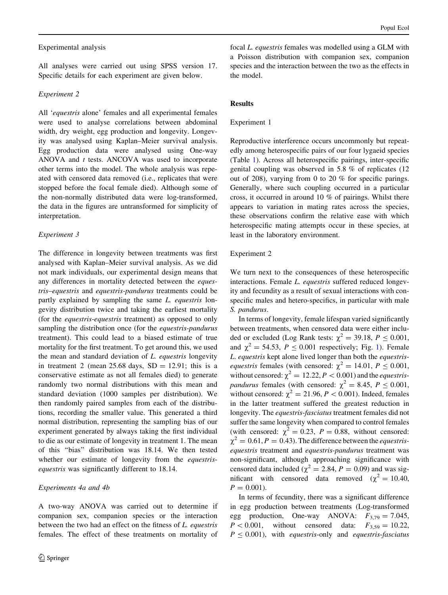## <span id="page-5-0"></span>Experimental analysis

All analyses were carried out using SPSS version 17. Specific details for each experiment are given below.

## Experiment 2

All 'equestris alone' females and all experimental females were used to analyse correlations between abdominal width, dry weight, egg production and longevity. Longevity was analysed using Kaplan–Meier survival analysis. Egg production data were analysed using One-way ANOVA and t tests. ANCOVA was used to incorporate other terms into the model. The whole analysis was repeated with censored data removed (i.e., replicates that were stopped before the focal female died). Although some of the non-normally distributed data were log-transformed, the data in the figures are untransformed for simplicity of interpretation.

## Experiment 3

The difference in longevity between treatments was first analysed with Kaplan–Meier survival analysis. As we did not mark individuals, our experimental design means that any differences in mortality detected between the equestris–equestris and equestris-pandurus treatments could be partly explained by sampling the same L. equestris longevity distribution twice and taking the earliest mortality (for the equestris-equestris treatment) as opposed to only sampling the distribution once (for the *equestris-pandurus* treatment). This could lead to a biased estimate of true mortality for the first treatment. To get around this, we used the mean and standard deviation of L. equestris longevity in treatment 2 (mean  $25.68$  days,  $SD = 12.91$ ; this is a conservative estimate as not all females died) to generate randomly two normal distributions with this mean and standard deviation (1000 samples per distribution). We then randomly paired samples from each of the distributions, recording the smaller value. This generated a third normal distribution, representing the sampling bias of our experiment generated by always taking the first individual to die as our estimate of longevity in treatment 1. The mean of this ''bias'' distribution was 18.14. We then tested whether our estimate of longevity from the *equestris*equestris was significantly different to 18.14.

## Experiments 4a and 4b

A two-way ANOVA was carried out to determine if companion sex, companion species or the interaction between the two had an effect on the fitness of L. equestris females. The effect of these treatments on mortality of

focal L. equestris females was modelled using a GLM with a Poisson distribution with companion sex, companion species and the interaction between the two as the effects in the model.

## Results

#### Experiment 1

Reproductive interference occurs uncommonly but repeatedly among heterospecific pairs of our four lygaeid species (Table [1\)](#page-6-0). Across all heterospecific pairings, inter-specific genital coupling was observed in 5.8 % of replicates (12 out of 208), varying from 0 to 20 % for specific parings. Generally, where such coupling occurred in a particular cross, it occurred in around 10 % of pairings. Whilst there appears to variation in mating rates across the species, these observations confirm the relative ease with which heterospecific mating attempts occur in these species, at least in the laboratory environment.

# Experiment 2

We turn next to the consequences of these heterospecific interactions. Female L. equestris suffered reduced longevity and fecundity as a result of sexual interactions with conspecific males and hetero-specifics, in particular with male S. pandurus.

In terms of longevity, female lifespan varied significantly between treatments, when censored data were either included or excluded (Log Rank tests:  $\chi^2 = 39.18$ ,  $P \le 0.001$ , and  $\chi^2 = 54.53$ ,  $P \le 0.001$  respectively; Fig. [1\)](#page-6-0). Female L. equestris kept alone lived longer than both the equestrisequestris females (with censored:  $\chi^2 = 14.01$ ,  $P \le 0.001$ , without censored:  $\chi^2 = 12.22, P < 0.001$  and the *equestris*pandurus females (with censored:  $\chi^2 = 8.45$ ,  $P \le 0.001$ , without censored:  $\chi^2 = 21.96$ ,  $P < 0.001$ ). Indeed, females in the latter treatment suffered the greatest reduction in longevity. The equestris-fasciatus treatment females did not suffer the same longevity when compared to control females (with censored:  $\chi^2 = 0.23$ ,  $P = 0.88$ , without censored:  $\chi^2 = 0.61, P = 0.43$ . The difference between the *equestris*equestris treatment and equestris-pandurus treatment was non-significant, although approaching significance with censored data included ( $\chi^2 = 2.84$ ,  $P = 0.09$ ) and was significant with censored data removed  $(\chi^2 = 10.40,$  $P = 0.001$ .

In terms of fecundity, there was a significant difference in egg production between treatments (Log-transformed egg production, One-way ANOVA:  $F_{3,79} = 7.045$ ,  $P < 0.001$ , without censored data:  $F_{3.59} = 10.22$ ,  $P \leq 0.001$ , with equestris-only and equestris-fasciatus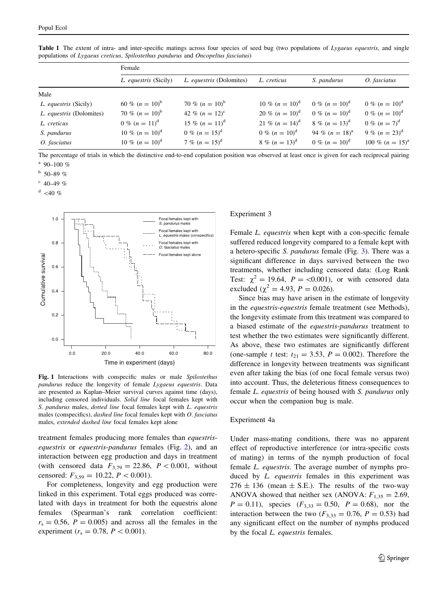|                          | Female                |                                 |                   |                     |                      |
|--------------------------|-----------------------|---------------------------------|-------------------|---------------------|----------------------|
|                          | L. equestris (Sicily) | <i>L. equestris</i> (Dolomites) | L. creticus       | S. pandurus         | O. fasciatus         |
| Male                     |                       |                                 |                   |                     |                      |
| L. equestris (Sicily)    | 60 % $(n = 10)^b$     | 70 % $(n = 10)^b$               | 10 % $(n = 10)^d$ | 0 % $(n = 10)^d$    | 0 % $(n = 10)^d$     |
| L. equestris (Dolomites) | 70 % $(n = 10)^{b}$   | 42 % $(n = 12)^{c}$             | 20 % $(n = 10)^d$ | 0 % $(n = 10)^d$    | 0 % $(n = 10)^d$     |
| L. creticus              | 0 % $(n = 11)^d$      | 15 % $(n = 11)^d$               | 21 % $(n = 14)^d$ | 8 % $(n = 13)^d$    | 0 % $(n=7)^d$        |
| S. pandurus              | 10 % $(n = 10)^d$     | 0 % $(n = 15)^d$                | 0 % $(n = 10)^d$  | 94 % $(n = 18)^{a}$ | 9 % $(n = 23)^d$     |
| O. fasciatus             | 10 % $(n = 10)^d$     | 7 % $(n = 15)^d$                | 8 % $(n = 13)^d$  | 0 % $(n = 10)^d$    | 100 % $(n = 15)^{a}$ |

<span id="page-6-0"></span>Table 1 The extent of intra- and inter-specific matings across four species of seed bug (two populations of Lygaeus equestris, and single populations of Lygaeus creticus, Spilostethus pandurus and Oncopeltus fasciatus)

The percentage of trials in which the distinctive end-to-end copulation position was observed at least once is given for each reciprocal pairing  $4\,90-100\%$ 

 $b$  50–89 %

 $c$  40–49 %

 $d$  <40 %



Fig. 1 Interactions with conspecific males or male Spilostethus pandurus reduce the longevity of female Lygaeus equestris. Data are presented as Kaplan–Meier survival curves against time (days), including censored individuals. Solid line focal females kept with S. pandurus males, dotted line focal females kept with L. equestris males (conspecifics), dashed line focal females kept with  $O$ . fasciatus males, extended dashed line focal females kept alone

treatment females producing more females than equestrisequestris or equestris-pandurus females (Fig. [2\)](#page-7-0), and an interaction between egg production and days in treatment (with censored data  $F_{3,79} = 22.86$ ,  $P < 0.001$ , without censored:  $F_{3,59} = 10.22, P < 0.001$ .

For completeness, longevity and egg production were linked in this experiment. Total eggs produced was correlated with days in treatment for both the equestris alone females (Spearman's rank correlation coefficient:  $r<sub>s</sub> = 0.56$ ,  $P = 0.005$ ) and across all the females in the experiment ( $r_s = 0.78$ ,  $P < 0.001$ ).

#### Experiment 3

Female L. equestris when kept with a con-specific female suffered reduced longevity compared to a female kept with a hetero-specific S. pandurus female (Fig. [3](#page-7-0)). There was a significant difference in days survived between the two treatments, whether including censored data: (Log Rank Test:  $\chi^2 = 19.64$ ,  $P = \langle 0.001 \rangle$ , or with censored data excluded ( $\chi^2 = 4.93$ ,  $P = 0.026$ ).

Since bias may have arisen in the estimate of longevity in the *equestris-equestris* female treatment (see Methods), the longevity estimate from this treatment was compared to a biased estimate of the equestris-pandurus treatment to test whether the two estimates were significantly different. As above, these two estimates are significantly different (one-sample t test:  $t_{21} = 3.53$ ,  $P = 0.002$ ). Therefore the difference in longevity between treatments was significant even after taking the bias (of one focal female versus two) into account. Thus, the deleterious fitness consequences to female L. equestris of being housed with S. pandurus only occur when the companion bug is male.

#### Experiment 4a

Under mass-mating conditions, there was no apparent effect of reproductive interference (or intra-specific costs of mating) in terms of the nymph production of focal female L. equestris. The average number of nymphs produced by *L. equestris* females in this experiment was  $276 \pm 136$  (mean  $\pm$  S.E.). The results of the two-way ANOVA showed that neither sex (ANOVA:  $F_{1,35} = 2.69$ ,  $P = 0.11$ ), species  $(F_{3,33} = 0.50, P = 0.68)$ , nor the interaction between the two  $(F_{3,33} = 0.76, P = 0.53)$  had any significant effect on the number of nymphs produced by the focal L. equestris females.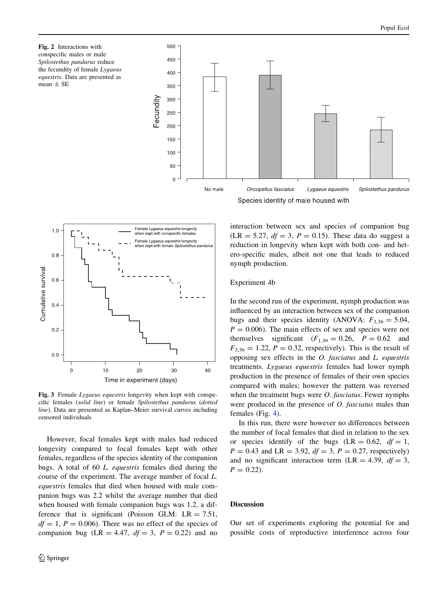<span id="page-7-0"></span>



Species identity of male housed with



Fig. 3 Female Lygaeus equestris longevity when kept with conspecific females (solid line) or female Spilostethus pandurus (dotted line). Data are presented as Kaplan–Meier survival curves including censored individuals

However, focal females kept with males had reduced longevity compared to focal females kept with other females, regardless of the species identity of the companion bugs. A total of 60 L. equestris females died during the course of the experiment. The average number of focal L. equestris females that died when housed with male companion bugs was 2.2 whilst the average number that died when housed with female companion bugs was 1.2, a difference that is significant (Poisson GLM:  $LR = 7.51$ ,  $df = 1, P = 0.006$ . There was no effect of the species of companion bug (LR = 4.47,  $df = 3$ ,  $P = 0.22$ ) and no

interaction between sex and species of companion bug  $(LR = 5.27, df = 3, P = 0.15)$ . These data do suggest a reduction in longevity when kept with both con- and hetero-specific males, albeit not one that leads to reduced nymph production.

## Experiment 4b

In the second run of the experiment, nymph production was influenced by an interaction between sex of the companion bugs and their species identity (ANOVA:  $F_{3,36} = 5.04$ ,  $P = 0.006$ . The main effects of sex and species were not themselves significant  $(F_{1,39} = 0.26, P = 0.62$  and  $F_{3,36} = 1.22$ ,  $P = 0.32$ , respectively). This is the result of opposing sex effects in the  $O$ . fasciatus and  $L$ . equestris treatments. Lygaeus equestris females had lower nymph production in the presence of females of their own species compared with males; however the pattern was reversed when the treatment bugs were *O. fasciatus*. Fewer nymphs were produced in the presence of *O. fasciatus* males than females (Fig. [4](#page-8-0)).

In this run, there were however no differences between the number of focal females that died in relation to the sex or species identify of the bugs  $(LR = 0.62, df = 1,$  $P = 0.43$  and LR = 3.92,  $df = 3$ ,  $P = 0.27$ , respectively) and no significant interaction term (LR = 4.39,  $df = 3$ ,  $P = 0.22$ ).

## Discussion

Our set of experiments exploring the potential for and possible costs of reproductive interference across four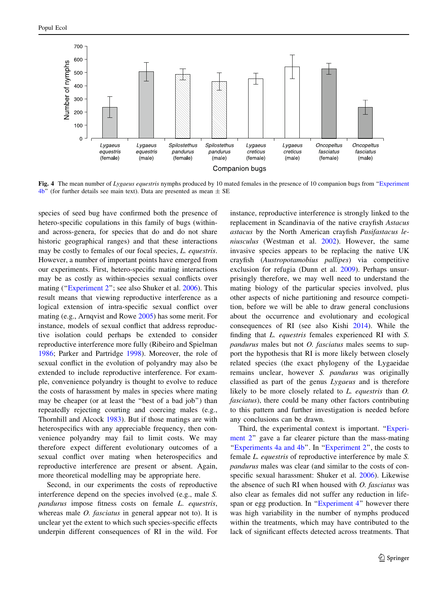<span id="page-8-0"></span>

Fig. 4 The mean number of Lygaeus equestris nymphs produced by 10 mated females in the presence of 10 companion bugs from "[Experiment](#page-7-0)"  $4b'$  $4b'$ ' (for further details see main text). Data are presented as mean  $\pm$  SE

species of seed bug have confirmed both the presence of hetero-specific copulations in this family of bugs (withinand across-genera, for species that do and do not share historic geographical ranges) and that these interactions may be costly to females of our focal species, L. equestris. However, a number of important points have emerged from our experiments. First, hetero-specific mating interactions may be as costly as within-species sexual conflicts over mating ("Experiment 2"; see also Shuker et al. [2006\)](#page-10-0). This result means that viewing reproductive interference as a logical extension of intra-specific sexual conflict over mating (e.g., Arnqvist and Rowe [2005](#page-9-0)) has some merit. For instance, models of sexual conflict that address reproductive isolation could perhaps be extended to consider reproductive interference more fully (Ribeiro and Spielman [1986;](#page-10-0) Parker and Partridge [1998](#page-10-0)). Moreover, the role of sexual conflict in the evolution of polyandry may also be extended to include reproductive interference. For example, convenience polyandry is thought to evolve to reduce the costs of harassment by males in species where mating may be cheaper (or at least the ''best of a bad job'') than repeatedly rejecting courting and coercing males (e.g., Thornhill and Alcock [1983](#page-10-0)). But if those matings are with heterospecifics with any appreciable frequency, then convenience polyandry may fail to limit costs. We may therefore expect different evolutionary outcomes of a sexual conflict over mating when heterospecifics and reproductive interference are present or absent. Again, more theoretical modelling may be appropriate here.

Second, in our experiments the costs of reproductive interference depend on the species involved (e.g., male S. pandurus impose fitness costs on female L. equestris, whereas male *O. fasciatus* in general appear not to). It is unclear yet the extent to which such species-specific effects underpin different consequences of RI in the wild. For instance, reproductive interference is strongly linked to the replacement in Scandinavia of the native crayfish Astacus astacus by the North American crayfish Pasifastacus le-niusculus (Westman et al. [2002](#page-10-0)). However, the same invasive species appears to be replacing the native UK crayfish (Austropotamobius pallipes) via competitive exclusion for refugia (Dunn et al. [2009\)](#page-10-0). Perhaps unsurprisingly therefore, we may well need to understand the mating biology of the particular species involved, plus other aspects of niche partitioning and resource competition, before we will be able to draw general conclusions about the occurrence and evolutionary and ecological consequences of RI (see also Kishi [2014\)](#page-10-0). While the finding that L. equestris females experienced RI with S. pandurus males but not *O. fasciatus* males seems to support the hypothesis that RI is more likely between closely related species (the exact phylogeny of the Lygaeidae remains unclear, however S. pandurus was originally classified as part of the genus Lygaeus and is therefore likely to be more closely related to L. equestris than O. fasciatus), there could be many other factors contributing to this pattern and further investigation is needed before any conclusions can be drawn.

Third, the experimental context is important. "Experi[ment 2](#page-5-0)" gave a far clearer picture than the mass-mating "[Experiments 4a and 4b](#page-4-0)". In "[Experiment 2](#page-5-0)", the costs to female L. equestris of reproductive interference by male S. pandurus males was clear (and similar to the costs of conspecific sexual harassment: Shuker et al. [2006\)](#page-10-0). Likewise the absence of such RI when housed with  $O$ . fasciatus was also clear as females did not suffer any reduction in lifespan or egg production. In "Experiment 4" however there was high variability in the number of nymphs produced within the treatments, which may have contributed to the lack of significant effects detected across treatments. That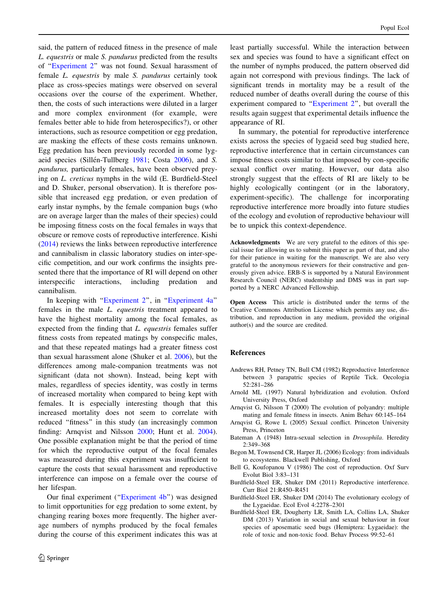<span id="page-9-0"></span>said, the pattern of reduced fitness in the presence of male L. equestris or male S. pandurus predicted from the results of ''[Experiment 2'](#page-5-0)' was not found. Sexual harassment of female L. equestris by male S. pandurus certainly took place as cross-species matings were observed on several occasions over the course of the experiment. Whether, then, the costs of such interactions were diluted in a larger and more complex environment (for example, were females better able to hide from heterospecifics?), or other interactions, such as resource competition or egg predation, are masking the effects of these costs remains unknown. Egg predation has been previously recorded in some lyg-aeid species (Sillén-Tullberg [1981](#page-10-0); Costa [2006](#page-10-0)), and S. pandurus, particularly females, have been observed preying on L. creticus nymphs in the wild (E. Burdfield-Steel and D. Shuker, personal observation). It is therefore possible that increased egg predation, or even predation of early instar nymphs, by the female companion bugs (who are on average larger than the males of their species) could be imposing fitness costs on the focal females in ways that obscure or remove costs of reproductive interference. Kishi [\(2014](#page-10-0)) reviews the links between reproductive interference and cannibalism in classic laboratory studies on inter-specific competition, and our work confirms the insights presented there that the importance of RI will depend on other interspecific interactions, including predation and cannibalism.

In keeping with "Experiment 2", in "Experiment 4a" females in the male L. equestris treatment appeared to have the highest mortality among the focal females, as expected from the finding that L. equestris females suffer fitness costs from repeated matings by conspecific males, and that these repeated matings had a greater fitness cost than sexual harassment alone (Shuker et al. [2006\)](#page-10-0), but the differences among male-companion treatments was not significant (data not shown). Instead, being kept with males, regardless of species identity, was costly in terms of increased mortality when compared to being kept with females. It is especially interesting though that this increased mortality does not seem to correlate with reduced ''fitness'' in this study (an increasingly common finding: Arnqvist and Nilsson 2000; Hunt et al. [2004](#page-10-0)). One possible explanation might be that the period of time for which the reproductive output of the focal females was measured during this experiment was insufficient to capture the costs that sexual harassment and reproductive interference can impose on a female over the course of her lifespan.

Our final experiment ('['Experiment 4b'](#page-7-0)') was designed to limit opportunities for egg predation to some extent, by changing rearing boxes more frequently. The higher average numbers of nymphs produced by the focal females during the course of this experiment indicates this was at least partially successful. While the interaction between sex and species was found to have a significant effect on the number of nymphs produced, the pattern observed did again not correspond with previous findings. The lack of significant trends in mortality may be a result of the reduced number of deaths overall during the course of this experiment compared to "Experiment 2", but overall the results again suggest that experimental details influence the appearance of RI.

In summary, the potential for reproductive interference exists across the species of lygaeid seed bug studied here, reproductive interference that in certain circumstances can impose fitness costs similar to that imposed by con-specific sexual conflict over mating. However, our data also strongly suggest that the effects of RI are likely to be highly ecologically contingent (or in the laboratory, experiment-specific). The challenge for incorporating reproductive interference more broadly into future studies of the ecology and evolution of reproductive behaviour will be to unpick this context-dependence.

Acknowledgments We are very grateful to the editors of this special issue for allowing us to submit this paper as part of that, and also for their patience in waiting for the manuscript. We are also very grateful to the anonymous reviewers for their constructive and generously given advice. ERB-S is supported by a Natural Environment Research Council (NERC) studentship and DMS was in part supported by a NERC Advanced Fellowship.

Open Access This article is distributed under the terms of the Creative Commons Attribution License which permits any use, distribution, and reproduction in any medium, provided the original author(s) and the source are credited.

## References

- Andrews RH, Petney TN, Bull CM (1982) Reproductive Interference between 3 parapatric species of Reptile Tick. Oecologia 52:281–286
- Arnold ML (1997) Natural hybridization and evolution. Oxford University Press, Oxford
- Arnqvist G, Nilsson T (2000) The evolution of polyandry: multiple mating and female fitness in insects. Anim Behav 60:145–164
- Arnqvist G, Rowe L (2005) Sexual conflict. Princeton University Press, Princeton
- Bateman A (1948) Intra-sexual selection in Drosophila. Heredity 2:349–368
- Begon M, Townsend CR, Harper JL (2006) Ecology: from individuals to ecosystems. Blackwell Publishing, Oxford
- Bell G, Koufopanou V (1986) The cost of reproduction. Oxf Surv Evolut Biol 3:83–131
- Burdfield-Steel ER, Shuker DM (2011) Reproductive interference. Curr Biol 21:R450–R451
- Burdfield-Steel ER, Shuker DM (2014) The evolutionary ecology of the Lygaeidae. Ecol Evol 4:2278–2301
- Burdfield-Steel ER, Dougherty LR, Smith LA, Collins LA, Shuker DM (2013) Variation in social and sexual behaviour in four species of aposematic seed bugs (Hemiptera: Lygaeidae): the role of toxic and non-toxic food. Behav Process 99:52–61